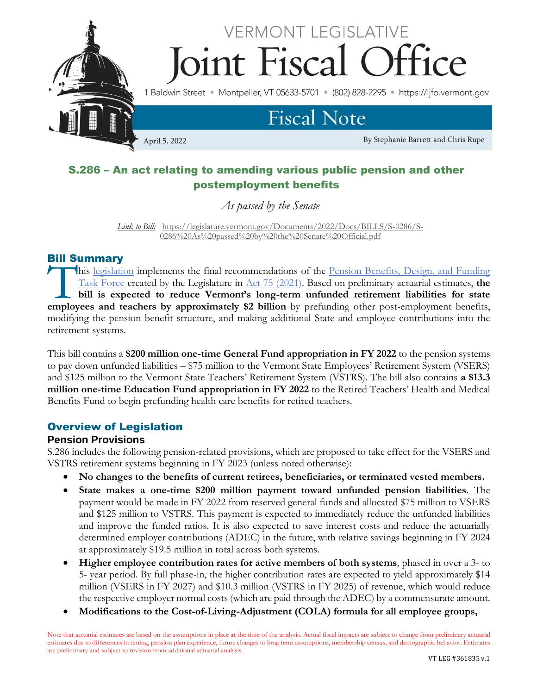

# S.286 – An act relating to amending various public pension and other postemployment benefits

*As passed by the Senate*

*Link to Bill:*[https://legislature.vermont.gov/Documents/2022/Docs/BILLS/S-0286/S-](https://legislature.vermont.gov/Documents/2022/Docs/BILLS/S-0286/S-0286%20As%20passed%20by%20the%20Senate%20Official.pdf)[0286%20As%20passed%20by%20the%20Senate%20Official.pdf](https://legislature.vermont.gov/Documents/2022/Docs/BILLS/S-0286/S-0286%20As%20passed%20by%20the%20Senate%20Official.pdf)

### Bill Summary

his [legislation](https://legislature.vermont.gov/bill/status/2022/S.286) implements the final recommendations of the Pension Benefits, Design, and Funding [Task Force](https://legislature.vermont.gov/committee/detail/2022/367) created by the Legislature in [Act 75 \(2021\).](https://legislature.vermont.gov/Documents/2022/Docs/ACTS/ACT075/ACT075%20As%20Enacted.pdf) Based on preliminary actuarial estimates, **the bill is expected to reduce Vermont's long-term unfunded retirement liabilities for state**  his legislation implements the final recommendations of the <u>Pension Benefits, Design, and Funding</u><br>Task Force created by the Legislature in <u>Act 75 (2021</u>). Based on preliminary actuarial estimates, the<br>bill is expected t modifying the pension benefit structure, and making additional State and employee contributions into the retirement systems.

This bill contains a **\$200 million one-time General Fund appropriation in FY 2022** to the pension systems to pay down unfunded liabilities – \$75 million to the Vermont State Employees' Retirement System (VSERS) and \$125 million to the Vermont State Teachers' Retirement System (VSTRS). The bill also contains **a \$13.3 million one-time Education Fund appropriation in FY 2022** to the Retired Teachers' Health and Medical Benefits Fund to begin prefunding health care benefits for retired teachers.

### Overview of Legislation

### **Pension Provisions**

S.286 includes the following pension-related provisions, which are proposed to take effect for the VSERS and VSTRS retirement systems beginning in FY 2023 (unless noted otherwise):

- **No changes to the benefits of current retirees, beneficiaries, or terminated vested members.**
- **State makes a one-time \$200 million payment toward unfunded pension liabilities**. The payment would be made in FY 2022 from reserved general funds and allocated \$75 million to VSERS and \$125 million to VSTRS. This payment is expected to immediately reduce the unfunded liabilities and improve the funded ratios. It is also expected to save interest costs and reduce the actuarially determined employer contributions (ADEC) in the future, with relative savings beginning in FY 2024 at approximately \$19.5 million in total across both systems.
- **Higher employee contribution rates for active members of both systems**, phased in over a 3- to 5- year period. By full phase-in, the higher contribution rates are expected to yield approximately \$14 million (VSERS in FY 2027) and \$10.3 million (VSTRS in FY 2025) of revenue, which would reduce the respective employer normal costs (which are paid through the ADEC) by a commensurate amount.
- **Modifications to the Cost-of-Living-Adjustment (COLA) formula for all employee groups,**

Note that actuarial estimates are based on the assumptions in place at the time of the analysis. Actual fiscal impacts are subject to change from preliminary actuarial estimates due to differences in timing, pension plan experience, future changes to long term assumptions, membership census, and demographic behavior. Estimates are preliminary and subject to revision from additional actuarial analysis.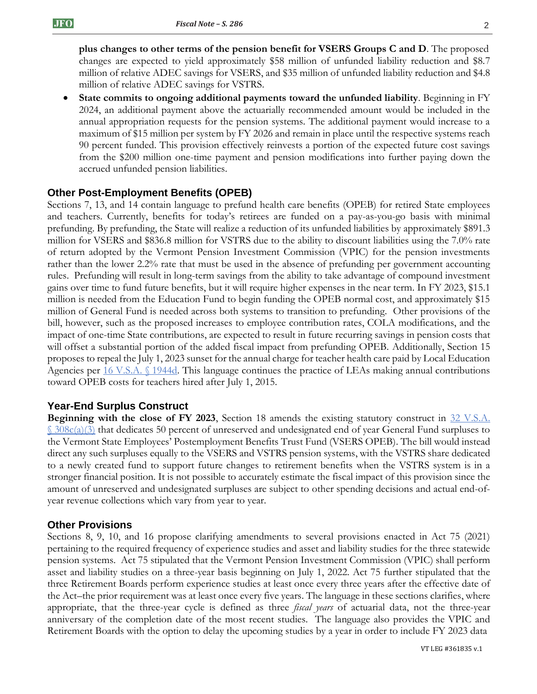**plus changes to other terms of the pension benefit for VSERS Groups C and D**. The proposed changes are expected to yield approximately \$58 million of unfunded liability reduction and \$8.7 million of relative ADEC savings for VSERS, and \$35 million of unfunded liability reduction and \$4.8 million of relative ADEC savings for VSTRS.

• **State commits to ongoing additional payments toward the unfunded liability**. Beginning in FY 2024, an additional payment above the actuarially recommended amount would be included in the annual appropriation requests for the pension systems. The additional payment would increase to a maximum of \$15 million per system by FY 2026 and remain in place until the respective systems reach 90 percent funded. This provision effectively reinvests a portion of the expected future cost savings from the \$200 million one-time payment and pension modifications into further paying down the accrued unfunded pension liabilities.

### **Other Post-Employment Benefits (OPEB)**

Sections 7, 13, and 14 contain language to prefund health care benefits (OPEB) for retired State employees and teachers. Currently, benefits for today's retirees are funded on a pay-as-you-go basis with minimal prefunding. By prefunding, the State will realize a reduction of its unfunded liabilities by approximately \$891.3 million for VSERS and \$836.8 million for VSTRS due to the ability to discount liabilities using the 7.0% rate of return adopted by the Vermont Pension Investment Commission (VPIC) for the pension investments rather than the lower 2.2% rate that must be used in the absence of prefunding per government accounting rules. Prefunding will result in long-term savings from the ability to take advantage of compound investment gains over time to fund future benefits, but it will require higher expenses in the near term. In FY 2023, \$15.1 million is needed from the Education Fund to begin funding the OPEB normal cost, and approximately \$15 million of General Fund is needed across both systems to transition to prefunding. Other provisions of the bill, however, such as the proposed increases to employee contribution rates, COLA modifications, and the impact of one-time State contributions, are expected to result in future recurring savings in pension costs that will offset a substantial portion of the added fiscal impact from prefunding OPEB. Additionally, Section 15 proposes to repeal the July 1, 2023 sunset for the annual charge for teacher health care paid by Local Education Agencies per [16 V.S.A. §](https://legislature.vermont.gov/statutes/section/16/055/01944d) 1944d. This language continues the practice of LEAs making annual contributions toward OPEB costs for teachers hired after July 1, 2015.

### **Year-End Surplus Construct**

**Beginning with the close of FY 2023**, Section 18 amends the existing statutory construct in 32 V.S.A.  $\frac{\S 308c(a)(3)}{2}$  $\frac{\S 308c(a)(3)}{2}$  $\frac{\S 308c(a)(3)}{2}$  that dedicates 50 percent of unreserved and undesignated end of year General Fund surpluses to the Vermont State Employees' Postemployment Benefits Trust Fund (VSERS OPEB). The bill would instead direct any such surpluses equally to the VSERS and VSTRS pension systems, with the VSTRS share dedicated to a newly created fund to support future changes to retirement benefits when the VSTRS system is in a stronger financial position. It is not possible to accurately estimate the fiscal impact of this provision since the amount of unreserved and undesignated surpluses are subject to other spending decisions and actual end-ofyear revenue collections which vary from year to year.

#### **Other Provisions**

Sections 8, 9, 10, and 16 propose clarifying amendments to several provisions enacted in Act 75 (2021) pertaining to the required frequency of experience studies and asset and liability studies for the three statewide pension systems. Act 75 stipulated that the Vermont Pension Investment Commission (VPIC) shall perform asset and liability studies on a three-year basis beginning on July 1, 2022. Act 75 further stipulated that the three Retirement Boards perform experience studies at least once every three years after the effective date of the Act–the prior requirement was at least once every five years. The language in these sections clarifies, where appropriate, that the three-year cycle is defined as three *fiscal years* of actuarial data, not the three-year anniversary of the completion date of the most recent studies. The language also provides the VPIC and Retirement Boards with the option to delay the upcoming studies by a year in order to include FY 2023 data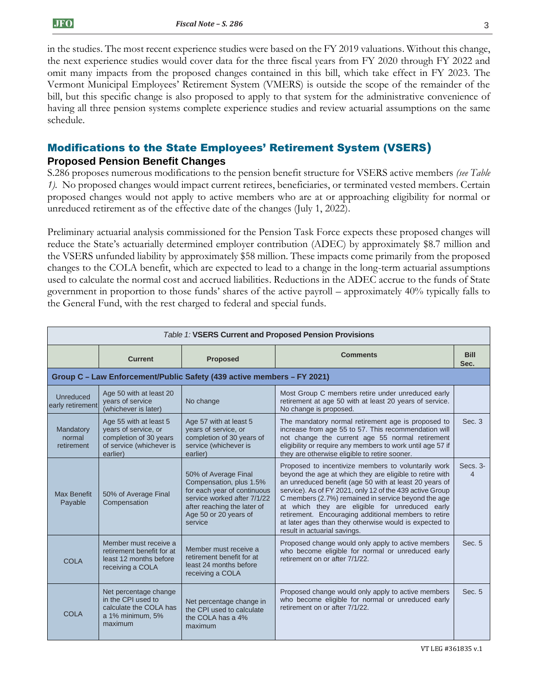in the studies. The most recent experience studies were based on the FY 2019 valuations. Without this change, the next experience studies would cover data for the three fiscal years from FY 2020 through FY 2022 and omit many impacts from the proposed changes contained in this bill, which take effect in FY 2023. The Vermont Municipal Employees' Retirement System (VMERS) is outside the scope of the remainder of the bill, but this specific change is also proposed to apply to that system for the administrative convenience of having all three pension systems complete experience studies and review actuarial assumptions on the same schedule.

# Modifications to the State Employees' Retirement System (VSERS)

### **Proposed Pension Benefit Changes**

S.286 proposes numerous modifications to the pension benefit structure for VSERS active members *(see Table 1).* No proposed changes would impact current retirees, beneficiaries, or terminated vested members. Certain proposed changes would not apply to active members who are at or approaching eligibility for normal or unreduced retirement as of the effective date of the changes (July 1, 2022).

Preliminary actuarial analysis commissioned for the Pension Task Force expects these proposed changes will reduce the State's actuarially determined employer contribution (ADEC) by approximately \$8.7 million and the VSERS unfunded liability by approximately \$58 million. These impacts come primarily from the proposed changes to the COLA benefit, which are expected to lead to a change in the long-term actuarial assumptions used to calculate the normal cost and accrued liabilities. Reductions in the ADEC accrue to the funds of State government in proportion to those funds' shares of the active payroll – approximately 40% typically falls to the General Fund, with the rest charged to federal and special funds.

| <b>Table 1: VSERS Current and Proposed Pension Provisions</b> |                                                                                                                  |                                                                                                                                                                                  |                                                                                                                                                                                                                                                                                                                                                                                                                                                                                                  |                      |  |  |  |  |
|---------------------------------------------------------------|------------------------------------------------------------------------------------------------------------------|----------------------------------------------------------------------------------------------------------------------------------------------------------------------------------|--------------------------------------------------------------------------------------------------------------------------------------------------------------------------------------------------------------------------------------------------------------------------------------------------------------------------------------------------------------------------------------------------------------------------------------------------------------------------------------------------|----------------------|--|--|--|--|
|                                                               | <b>Comments</b><br><b>Current</b><br><b>Proposed</b>                                                             |                                                                                                                                                                                  |                                                                                                                                                                                                                                                                                                                                                                                                                                                                                                  | <b>Bill</b><br>Sec.  |  |  |  |  |
|                                                               | Group C - Law Enforcement/Public Safety (439 active members - FY 2021)                                           |                                                                                                                                                                                  |                                                                                                                                                                                                                                                                                                                                                                                                                                                                                                  |                      |  |  |  |  |
| Unreduced<br>early retirement                                 | Age 50 with at least 20<br>vears of service<br>(whichever is later)                                              | No change                                                                                                                                                                        | Most Group C members retire under unreduced early<br>retirement at age 50 with at least 20 years of service.<br>No change is proposed.                                                                                                                                                                                                                                                                                                                                                           |                      |  |  |  |  |
| Mandatory<br>normal<br>retirement                             | Age 55 with at least 5<br>years of service, or<br>completion of 30 years<br>of service (whichever is<br>earlier) | Age 57 with at least 5<br>years of service, or<br>completion of 30 years of<br>service (whichever is<br>earlier)                                                                 | The mandatory normal retirement age is proposed to<br>increase from age 55 to 57. This recommendation will<br>not change the current age 55 normal retirement<br>eligibility or require any members to work until age 57 if<br>they are otherwise eligible to retire sooner.                                                                                                                                                                                                                     | Sec. 3               |  |  |  |  |
| <b>Max Benefit</b><br>Payable                                 | 50% of Average Final<br>Compensation                                                                             | 50% of Average Final<br>Compensation, plus 1.5%<br>for each year of continuous<br>service worked after 7/1/22<br>after reaching the later of<br>Age 50 or 20 years of<br>service | Proposed to incentivize members to voluntarily work<br>beyond the age at which they are eligible to retire with<br>an unreduced benefit (age 50 with at least 20 years of<br>service). As of FY 2021, only 12 of the 439 active Group<br>C members (2.7%) remained in service beyond the age<br>at which they are eligible for unreduced early<br>retirement. Encouraging additional members to retire<br>at later ages than they otherwise would is expected to<br>result in actuarial savings. | Secs. 3-<br>$\Delta$ |  |  |  |  |
| <b>COLA</b>                                                   | Member must receive a<br>retirement benefit for at<br>least 12 months before<br>receiving a COLA                 | Member must receive a<br>retirement benefit for at<br>least 24 months before<br>receiving a COLA                                                                                 | Proposed change would only apply to active members<br>who become eligible for normal or unreduced early<br>retirement on or after 7/1/22.                                                                                                                                                                                                                                                                                                                                                        | Sec. 5               |  |  |  |  |
| <b>COLA</b>                                                   | Net percentage change<br>in the CPI used to<br>calculate the COLA has<br>a 1% minimum, 5%<br>maximum             | Net percentage change in<br>the CPI used to calculate<br>the COLA has a 4%<br>maximum                                                                                            | Proposed change would only apply to active members<br>who become eligible for normal or unreduced early<br>retirement on or after 7/1/22.                                                                                                                                                                                                                                                                                                                                                        | Sec. 5               |  |  |  |  |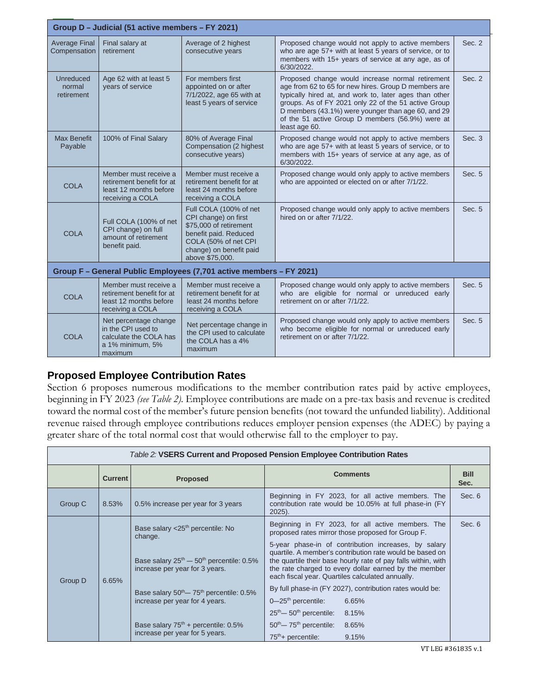| Group D - Judicial (51 active members - FY 2021) |                                                                                                      |                                                                                                                                                                         |                                                                                                                                                                                                                                                                                                                                                       |        |  |  |  |
|--------------------------------------------------|------------------------------------------------------------------------------------------------------|-------------------------------------------------------------------------------------------------------------------------------------------------------------------------|-------------------------------------------------------------------------------------------------------------------------------------------------------------------------------------------------------------------------------------------------------------------------------------------------------------------------------------------------------|--------|--|--|--|
| <b>Average Final</b><br>Compensation             | Final salary at<br>retirement                                                                        | Average of 2 highest<br>consecutive years                                                                                                                               | Proposed change would not apply to active members<br>who are age 57+ with at least 5 years of service, or to<br>members with 15+ years of service at any age, as of<br>6/30/2022.                                                                                                                                                                     | Sec. 2 |  |  |  |
| Unreduced<br>normal<br>retirement                | Age 62 with at least 5<br>vears of service                                                           | For members first<br>appointed on or after<br>7/1/2022, age 65 with at<br>least 5 years of service                                                                      | Proposed change would increase normal retirement<br>age from 62 to 65 for new hires. Group D members are<br>typically hired at, and work to, later ages than other<br>groups. As of FY 2021 only 22 of the 51 active Group<br>D members (43.1%) were younger than age 60, and 29<br>of the 51 active Group D members (56.9%) were at<br>least age 60. | Sec. 2 |  |  |  |
| <b>Max Benefit</b><br>Payable                    | 100% of Final Salary                                                                                 | 80% of Average Final<br>Compensation (2 highest<br>consecutive years)                                                                                                   | Proposed change would not apply to active members<br>who are age 57+ with at least 5 years of service, or to<br>members with 15+ years of service at any age, as of<br>6/30/2022.                                                                                                                                                                     | Sec. 3 |  |  |  |
| <b>COLA</b>                                      | Member must receive a<br>retirement benefit for at<br>least 12 months before<br>receiving a COLA     | Member must receive a<br>retirement benefit for at<br>least 24 months before<br>receiving a COLA                                                                        | Proposed change would only apply to active members<br>who are appointed or elected on or after 7/1/22.                                                                                                                                                                                                                                                | Sec. 5 |  |  |  |
| <b>COLA</b>                                      | Full COLA (100% of net<br>CPI change) on full<br>amount of retirement<br>benefit paid.               | Full COLA (100% of net<br>CPI change) on first<br>\$75,000 of retirement<br>benefit paid. Reduced<br>COLA (50% of net CPI<br>change) on benefit paid<br>above \$75,000. | Proposed change would only apply to active members<br>hired on or after 7/1/22.                                                                                                                                                                                                                                                                       | Sec. 5 |  |  |  |
|                                                  |                                                                                                      | Group F - General Public Employees (7,701 active members - FY 2021)                                                                                                     |                                                                                                                                                                                                                                                                                                                                                       |        |  |  |  |
| <b>COLA</b>                                      | Member must receive a<br>retirement benefit for at<br>least 12 months before<br>receiving a COLA     | Member must receive a<br>retirement benefit for at<br>least 24 months before<br>receiving a COLA                                                                        | Proposed change would only apply to active members<br>who are eligible for normal or unreduced early<br>retirement on or after 7/1/22.                                                                                                                                                                                                                | Sec. 5 |  |  |  |
| <b>COLA</b>                                      | Net percentage change<br>in the CPI used to<br>calculate the COLA has<br>a 1% minimum, 5%<br>maximum | Net percentage change in<br>the CPI used to calculate<br>the COLA has a 4%<br>maximum                                                                                   | Proposed change would only apply to active members<br>who become eligible for normal or unreduced early<br>retirement on or after 7/1/22.                                                                                                                                                                                                             | Sec. 5 |  |  |  |

## **Proposed Employee Contribution Rates**

Section 6 proposes numerous modifications to the member contribution rates paid by active employees, beginning in FY 2023 *(see Table 2).* Employee contributions are made on a pre-tax basis and revenue is credited toward the normal cost of the member's future pension benefits (not toward the unfunded liability). Additional revenue raised through employee contributions reduces employer pension expenses (the ADEC) by paying a greater share of the total normal cost that would otherwise fall to the employer to pay.

| <i>Table 2:</i> VSERS Current and Proposed Pension Employee Contribution Rates |                |                                                                                                                                                                                                                                         |                                                                                                                                                                                                                                                                                                                                                                                                                                                                                                                     |                     |  |  |  |
|--------------------------------------------------------------------------------|----------------|-----------------------------------------------------------------------------------------------------------------------------------------------------------------------------------------------------------------------------------------|---------------------------------------------------------------------------------------------------------------------------------------------------------------------------------------------------------------------------------------------------------------------------------------------------------------------------------------------------------------------------------------------------------------------------------------------------------------------------------------------------------------------|---------------------|--|--|--|
|                                                                                | <b>Current</b> | <b>Proposed</b>                                                                                                                                                                                                                         | <b>Comments</b>                                                                                                                                                                                                                                                                                                                                                                                                                                                                                                     | <b>Bill</b><br>Sec. |  |  |  |
| Group C                                                                        | 8.53%          | 0.5% increase per year for 3 years                                                                                                                                                                                                      | Beginning in FY 2023, for all active members. The<br>contribution rate would be 10.05% at full phase-in (FY<br>$2025$ ).                                                                                                                                                                                                                                                                                                                                                                                            | Sec. 6              |  |  |  |
| Group D                                                                        | 6.65%          | Base salary <25 <sup>th</sup> percentile: No<br>change.<br>Base salary $25^{th}$ – $50^{th}$ percentile: 0.5%<br>increase per year for 3 years.<br>Base salary $50^{th}$ $- 75^{th}$ percentile: 0.5%<br>increase per year for 4 years. | Beginning in FY 2023, for all active members. The<br>proposed rates mirror those proposed for Group F.<br>5-year phase-in of contribution increases, by salary<br>quartile. A member's contribution rate would be based on<br>the quartile their base hourly rate of pay falls within, with<br>the rate charged to every dollar earned by the member<br>each fiscal year. Quartiles calculated annually.<br>By full phase-in (FY 2027), contribution rates would be:<br>$0 - 25$ <sup>th</sup> percentile:<br>6.65% | Sec. 6              |  |  |  |
|                                                                                |                | Base salary $75th$ + percentile: 0.5%<br>increase per year for 5 years.                                                                                                                                                                 | $25th$ – $50th$ percentile:<br>8.15%<br>$50th$ $- 75th$ percentile:<br>8.65%<br>$75th$ + percentile:<br>9.15%                                                                                                                                                                                                                                                                                                                                                                                                       |                     |  |  |  |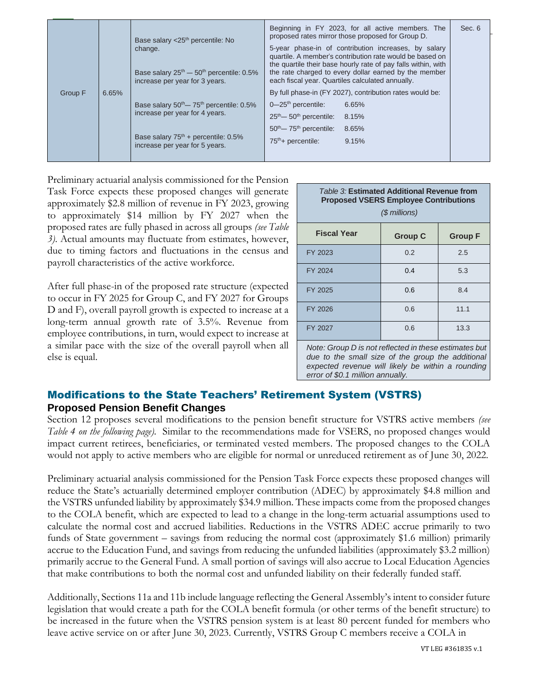|         |       | Base salary $<$ 25 <sup>th</sup> percentile: No<br>change.<br>Base salary $25^{th}$ – $50^{th}$ percentile: 0.5%<br>increase per year for 3 years.              | Beginning in FY 2023, for all active members. The<br>proposed rates mirror those proposed for Group D.<br>5-year phase-in of contribution increases, by salary<br>quartile. A member's contribution rate would be based on<br>the quartile their base hourly rate of pay falls within, with<br>the rate charged to every dollar earned by the member<br>each fiscal year. Quartiles calculated annually. | Sec. 6 |
|---------|-------|-----------------------------------------------------------------------------------------------------------------------------------------------------------------|----------------------------------------------------------------------------------------------------------------------------------------------------------------------------------------------------------------------------------------------------------------------------------------------------------------------------------------------------------------------------------------------------------|--------|
| Group F | 6.65% | Base salary $50^{th}$ – $75^{th}$ percentile: 0.5%<br>increase per year for 4 years.<br>Base salary $75th$ + percentile: 0.5%<br>increase per year for 5 years. | By full phase-in (FY 2027), contribution rates would be:<br>$0 - 25$ <sup>th</sup> percentile:<br>6.65%<br>$25th$ – 50 <sup>th</sup> percentile:<br>8.15%<br>$50th$ $- 75th$ percentile:<br>8.65%<br>$75th$ + percentile:<br>9.15%                                                                                                                                                                       |        |

Preliminary actuarial analysis commissioned for the Pension Task Force expects these proposed changes will generate approximately \$2.8 million of revenue in FY 2023, growing to approximately \$14 million by FY 2027 when the proposed rates are fully phased in across all groups *(see Table 3)*. Actual amounts may fluctuate from estimates, however, due to timing factors and fluctuations in the census and payroll characteristics of the active workforce.

After full phase-in of the proposed rate structure (expected to occur in FY 2025 for Group C, and FY 2027 for Groups D and F), overall payroll growth is expected to increase at a long-term annual growth rate of 3.5%. Revenue from employee contributions, in turn, would expect to increase at a similar pace with the size of the overall payroll when all else is equal.

| Table 3: Estimated Additional Revenue from<br><b>Proposed VSERS Employee Contributions</b><br>$(S$ millions) |                                                         |                                 |  |  |  |
|--------------------------------------------------------------------------------------------------------------|---------------------------------------------------------|---------------------------------|--|--|--|
| <b>Fiscal Year</b>                                                                                           | <b>Group C</b>                                          | <b>Group F</b>                  |  |  |  |
| FY 2023                                                                                                      | 0.2                                                     | 2.5                             |  |  |  |
| FY 2024                                                                                                      | 0.4                                                     | 5.3                             |  |  |  |
| FY 2025                                                                                                      | 0.6                                                     | 8.4                             |  |  |  |
| FY 2026                                                                                                      | 0.6                                                     | 11.1                            |  |  |  |
| FY 2027                                                                                                      | 0.6                                                     | 13.3                            |  |  |  |
| $\cdots$<br>$\sim$ $\cdot$                                                                                   | $\sim$ $\sim$ $\sim$ $\sim$ $\sim$ $\sim$ $\sim$ $\sim$ | $\mathbf{r}$ , and $\mathbf{r}$ |  |  |  |

*Note: Group D is not reflected in these estimates but due to the small size of the group the additional expected revenue will likely be within a rounding error of \$0.1 million annually.*

### Modifications to the State Teachers' Retirement System (VSTRS) **Proposed Pension Benefit Changes**

Section 12 proposes several modifications to the pension benefit structure for VSTRS active members *(see Table 4 on the following page).* Similar to the recommendations made for VSERS, no proposed changes would impact current retirees, beneficiaries, or terminated vested members. The proposed changes to the COLA would not apply to active members who are eligible for normal or unreduced retirement as of June 30, 2022.

Preliminary actuarial analysis commissioned for the Pension Task Force expects these proposed changes will reduce the State's actuarially determined employer contribution (ADEC) by approximately \$4.8 million and the VSTRS unfunded liability by approximately \$34.9 million. These impacts come from the proposed changes to the COLA benefit, which are expected to lead to a change in the long-term actuarial assumptions used to calculate the normal cost and accrued liabilities. Reductions in the VSTRS ADEC accrue primarily to two funds of State government – savings from reducing the normal cost (approximately \$1.6 million) primarily accrue to the Education Fund, and savings from reducing the unfunded liabilities (approximately \$3.2 million) primarily accrue to the General Fund. A small portion of savings will also accrue to Local Education Agencies that make contributions to both the normal cost and unfunded liability on their federally funded staff.

Additionally, Sections 11a and 11b include language reflecting the General Assembly's intent to consider future legislation that would create a path for the COLA benefit formula (or other terms of the benefit structure) to be increased in the future when the VSTRS pension system is at least 80 percent funded for members who leave active service on or after June 30, 2023. Currently, VSTRS Group C members receive a COLA in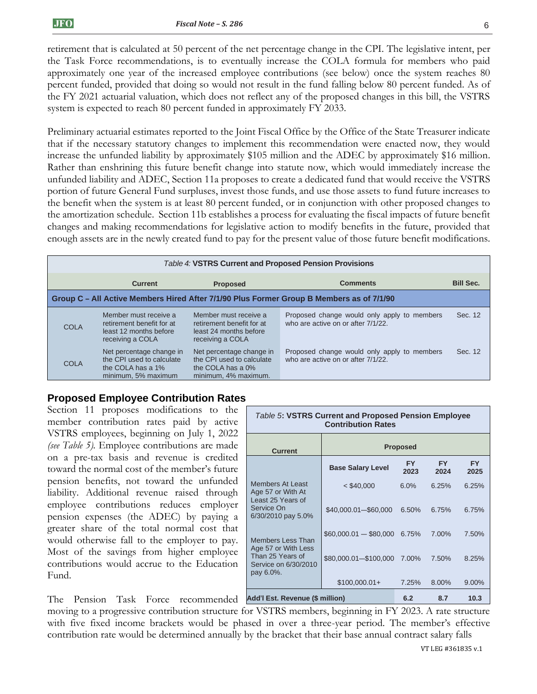retirement that is calculated at 50 percent of the net percentage change in the CPI. The legislative intent, per the Task Force recommendations, is to eventually increase the COLA formula for members who paid approximately one year of the increased employee contributions (see below) once the system reaches 80 percent funded, provided that doing so would not result in the fund falling below 80 percent funded. As of the FY 2021 actuarial valuation, which does not reflect any of the proposed changes in this bill, the VSTRS system is expected to reach 80 percent funded in approximately FY 2033.

Preliminary actuarial estimates reported to the Joint Fiscal Office by the Office of the State Treasurer indicate that if the necessary statutory changes to implement this recommendation were enacted now, they would increase the unfunded liability by approximately \$105 million and the ADEC by approximately \$16 million. Rather than enshrining this future benefit change into statute now, which would immediately increase the unfunded liability and ADEC, Section 11a proposes to create a dedicated fund that would receive the VSTRS portion of future General Fund surpluses, invest those funds, and use those assets to fund future increases to the benefit when the system is at least 80 percent funded, or in conjunction with other proposed changes to the amortization schedule. Section 11b establishes a process for evaluating the fiscal impacts of future benefit changes and making recommendations for legislative action to modify benefits in the future, provided that enough assets are in the newly created fund to pay for the present value of those future benefit modifications.

|                                                                                          | Table 4: VSTRS Current and Proposed Pension Provisions                                            |                                                                                                    |                                                                                   |                  |  |  |
|------------------------------------------------------------------------------------------|---------------------------------------------------------------------------------------------------|----------------------------------------------------------------------------------------------------|-----------------------------------------------------------------------------------|------------------|--|--|
|                                                                                          | <b>Current</b>                                                                                    | <b>Proposed</b>                                                                                    | <b>Comments</b>                                                                   | <b>Bill Sec.</b> |  |  |
| Group C – All Active Members Hired After 7/1/90 Plus Former Group B Members as of 7/1/90 |                                                                                                   |                                                                                                    |                                                                                   |                  |  |  |
| <b>COLA</b>                                                                              | Member must receive a<br>retirement benefit for at<br>least 12 months before<br>receiving a COLA  | Member must receive a<br>retirement benefit for at<br>least 24 months before<br>receiving a COLA   | Proposed change would only apply to members<br>who are active on or after 7/1/22. | Sec. 12          |  |  |
| COLA                                                                                     | Net percentage change in<br>the CPI used to calculate<br>the COLA has a 1%<br>minimum, 5% maximum | Net percentage change in<br>the CPI used to calculate<br>the COLA has a 0%<br>minimum, 4% maximum. | Proposed change would only apply to members<br>who are active on or after 7/1/22. | Sec. 12          |  |  |

### **Proposed Employee Contribution Rates**

| Section 11 proposes modifications to the<br>member contribution rates paid by active             | Table 5: VSTRS Current and Proposed Pension Employee<br><b>Contribution Rates</b> |                               |                   |                   |                   |
|--------------------------------------------------------------------------------------------------|-----------------------------------------------------------------------------------|-------------------------------|-------------------|-------------------|-------------------|
| VSTRS employees, beginning on July 1, 2022<br>(see Table 5). Employee contributions are made     | <b>Current</b>                                                                    |                               | <b>Proposed</b>   |                   |                   |
| on a pre-tax basis and revenue is credited<br>toward the normal cost of the member's future      |                                                                                   | <b>Base Salary Level</b>      | <b>FY</b><br>2023 | <b>FY</b><br>2024 | <b>FY</b><br>2025 |
| pension benefits, not toward the unfunded<br>liability. Additional revenue raised through        | <b>Members At Least</b><br>Age 57 or With At                                      | $<$ \$40,000                  | 6.0%              | 6.25%             | 6.25%             |
| employee contributions reduces employer<br>pension expenses (the ADEC) by paying a               | Least 25 Years of<br>Service On<br>6/30/2010 pay 5.0%                             | \$40,000.01-\$60,000          | 6.50%             | 6.75%             | 6.75%             |
| greater share of the total normal cost that<br>would otherwise fall to the employer to pay.      | <b>Members Less Than</b>                                                          | $$60,000.01 - $80,000 6.75\%$ |                   | 7.00%             | 7.50%             |
| Most of the savings from higher employee<br>contributions would accrue to the Education<br>Fund. | Age 57 or With Less<br>Than 25 Years of<br>Service on 6/30/2010<br>pay 6.0%.      | \$80,000.01-\$100,000 7.00%   |                   | 7.50%             | 8.25%             |
|                                                                                                  |                                                                                   | $$100,000.01+$                | 7.25%             | 8.00%             | 9.00%             |
| The<br>Pension Task Force recommended                                                            | Add'l Est. Revenue (\$ million)                                                   |                               | 6.2               | 8.7               | 10.3              |

moving to a progressive contribution structure for VSTRS members, beginning in FY 2023. A rate structure with five fixed income brackets would be phased in over a three-year period. The member's effective contribution rate would be determined annually by the bracket that their base annual contract salary falls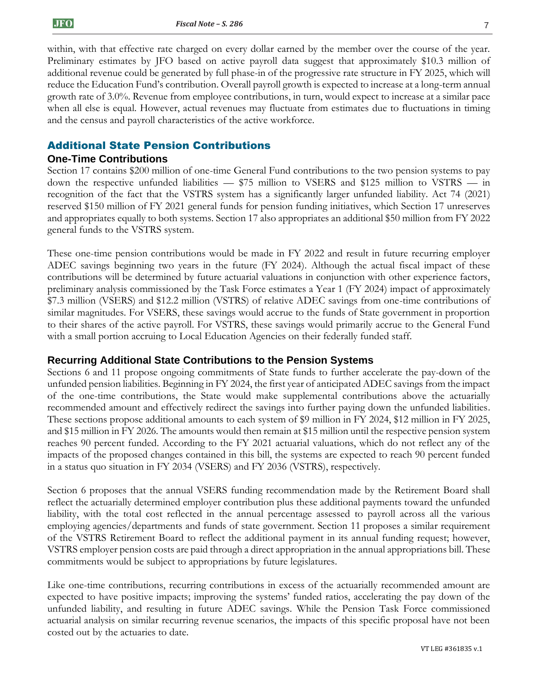within, with that effective rate charged on every dollar earned by the member over the course of the year. Preliminary estimates by JFO based on active payroll data suggest that approximately \$10.3 million of additional revenue could be generated by full phase-in of the progressive rate structure in FY 2025, which will reduce the Education Fund's contribution. Overall payroll growth is expected to increase at a long-term annual growth rate of 3.0%. Revenue from employee contributions, in turn, would expect to increase at a similar pace when all else is equal. However, actual revenues may fluctuate from estimates due to fluctuations in timing and the census and payroll characteristics of the active workforce.

### Additional State Pension Contributions

#### **One-Time Contributions**

Section 17 contains \$200 million of one-time General Fund contributions to the two pension systems to pay down the respective unfunded liabilities — \$75 million to VSERS and \$125 million to VSTRS — in recognition of the fact that the VSTRS system has a significantly larger unfunded liability. Act 74 (2021) reserved \$150 million of FY 2021 general funds for pension funding initiatives, which Section 17 unreserves and appropriates equally to both systems. Section 17 also appropriates an additional \$50 million from FY 2022 general funds to the VSTRS system.

These one-time pension contributions would be made in FY 2022 and result in future recurring employer ADEC savings beginning two years in the future (FY 2024). Although the actual fiscal impact of these contributions will be determined by future actuarial valuations in conjunction with other experience factors, preliminary analysis commissioned by the Task Force estimates a Year 1 (FY 2024) impact of approximately \$7.3 million (VSERS) and \$12.2 million (VSTRS) of relative ADEC savings from one-time contributions of similar magnitudes. For VSERS, these savings would accrue to the funds of State government in proportion to their shares of the active payroll. For VSTRS, these savings would primarily accrue to the General Fund with a small portion accruing to Local Education Agencies on their federally funded staff.

### **Recurring Additional State Contributions to the Pension Systems**

Sections 6 and 11 propose ongoing commitments of State funds to further accelerate the pay-down of the unfunded pension liabilities. Beginning in FY 2024, the first year of anticipated ADEC savings from the impact of the one-time contributions, the State would make supplemental contributions above the actuarially recommended amount and effectively redirect the savings into further paying down the unfunded liabilities. These sections propose additional amounts to each system of \$9 million in FY 2024, \$12 million in FY 2025, and \$15 million in FY 2026. The amounts would then remain at \$15 million until the respective pension system reaches 90 percent funded. According to the FY 2021 actuarial valuations, which do not reflect any of the impacts of the proposed changes contained in this bill, the systems are expected to reach 90 percent funded in a status quo situation in FY 2034 (VSERS) and FY 2036 (VSTRS), respectively.

Section 6 proposes that the annual VSERS funding recommendation made by the Retirement Board shall reflect the actuarially determined employer contribution plus these additional payments toward the unfunded liability, with the total cost reflected in the annual percentage assessed to payroll across all the various employing agencies/departments and funds of state government. Section 11 proposes a similar requirement of the VSTRS Retirement Board to reflect the additional payment in its annual funding request; however, VSTRS employer pension costs are paid through a direct appropriation in the annual appropriations bill. These commitments would be subject to appropriations by future legislatures.

Like one-time contributions, recurring contributions in excess of the actuarially recommended amount are expected to have positive impacts; improving the systems' funded ratios, accelerating the pay down of the unfunded liability, and resulting in future ADEC savings. While the Pension Task Force commissioned actuarial analysis on similar recurring revenue scenarios, the impacts of this specific proposal have not been costed out by the actuaries to date.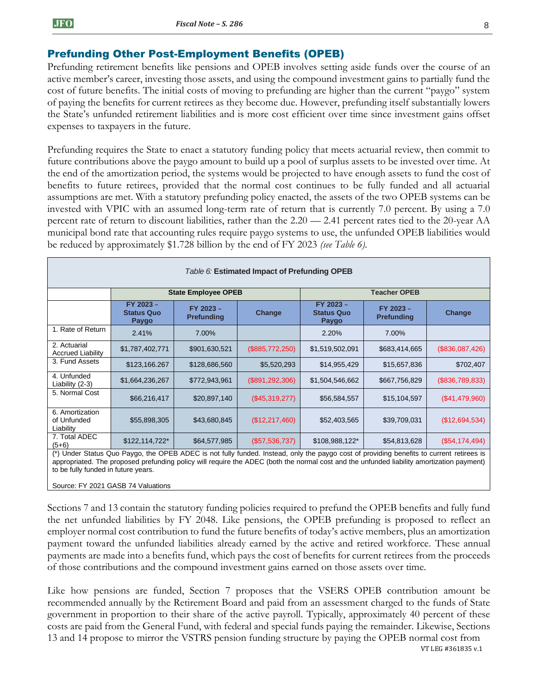## Prefunding Other Post-Employment Benefits (OPEB)

Prefunding retirement benefits like pensions and OPEB involves setting aside funds over the course of an active member's career, investing those assets, and using the compound investment gains to partially fund the cost of future benefits. The initial costs of moving to prefunding are higher than the current "paygo" system of paying the benefits for current retirees as they become due. However, prefunding itself substantially lowers the State's unfunded retirement liabilities and is more cost efficient over time since investment gains offset expenses to taxpayers in the future.

Prefunding requires the State to enact a statutory funding policy that meets actuarial review, then commit to future contributions above the paygo amount to build up a pool of surplus assets to be invested over time. At the end of the amortization period, the systems would be projected to have enough assets to fund the cost of benefits to future retirees, provided that the normal cost continues to be fully funded and all actuarial assumptions are met. With a statutory prefunding policy enacted, the assets of the two OPEB systems can be invested with VPIC with an assumed long-term rate of return that is currently 7.0 percent. By using a 7.0 percent rate of return to discount liabilities, rather than the 2.20 — 2.41 percent rates tied to the 20-year AA municipal bond rate that accounting rules require paygo systems to use, the unfunded OPEB liabilities would be reduced by approximately \$1.728 billion by the end of FY 2023 *(see Table 6).*

| Table 6: Estimated Impact of Prefunding OPEB                                                                                             |                                                |                                |                   |                                                |                                |                 |
|------------------------------------------------------------------------------------------------------------------------------------------|------------------------------------------------|--------------------------------|-------------------|------------------------------------------------|--------------------------------|-----------------|
|                                                                                                                                          |                                                | <b>State Employee OPEB</b>     |                   | <b>Teacher OPEB</b>                            |                                |                 |
|                                                                                                                                          | FY 2023 -<br><b>Status Quo</b><br><b>Paygo</b> | FY 2023 -<br><b>Prefunding</b> | Change            | FY 2023 -<br><b>Status Quo</b><br><b>Paygo</b> | FY 2023 -<br><b>Prefunding</b> | Change          |
| 1. Rate of Return                                                                                                                        | 2.41%                                          | 7.00%                          |                   | 2.20%                                          | 7.00%                          |                 |
| 2. Actuarial<br><b>Accrued Liability</b>                                                                                                 | \$1,787,402,771                                | \$901,630,521                  | (\$885,772,250)   | \$1,519,502,091                                | \$683,414,665                  | (\$836,087,426) |
| 3. Fund Assets                                                                                                                           | \$123,166.267                                  | \$128,686,560                  | \$5,520,293       | \$14,955,429                                   | \$15,657,836                   | \$702,407       |
| 4. Unfunded<br>Liability (2-3)                                                                                                           | \$1,664,236,267                                | \$772,943,961                  | (\$891, 292, 306) | \$1,504,546,662                                | \$667,756,829                  | (\$836,789,833) |
| 5. Normal Cost                                                                                                                           | \$66,216,417                                   | \$20,897,140                   | (\$45,319,277)    | \$56,584,557                                   | \$15,104,597                   | (\$41,479,960)  |
| 6. Amortization<br>of Unfunded<br>Liability                                                                                              | \$55,898,305                                   | \$43,680,845                   | (\$12,217,460)    | \$52,403,565                                   | \$39,709,031                   | (\$12,694,534)  |
| 7. Total ADEC<br>$(5+6)$                                                                                                                 | $$122,114,722*$                                | \$64,577,985                   | (\$57,536,737)    | \$108,988,122*                                 | \$54,813,628                   | (\$54,174,494)  |
| (*) Under Status Quo Paygo, the OPEB ADEC is not fully funded. Instead, only the paygo cost of providing benefits to current retirees is |                                                |                                |                   |                                                |                                |                 |

appropriated. The proposed prefunding policy will require the ADEC (both the normal cost and the unfunded liability amortization payment) to be fully funded in future years.

Source: FY 2021 GASB 74 Valuations

Sections 7 and 13 contain the statutory funding policies required to prefund the OPEB benefits and fully fund the net unfunded liabilities by FY 2048. Like pensions, the OPEB prefunding is proposed to reflect an employer normal cost contribution to fund the future benefits of today's active members, plus an amortization payment toward the unfunded liabilities already earned by the active and retired workforce. These annual payments are made into a benefits fund, which pays the cost of benefits for current retirees from the proceeds of those contributions and the compound investment gains earned on those assets over time.

VT LEG #361835 v.1 Like how pensions are funded, Section 7 proposes that the VSERS OPEB contribution amount be recommended annually by the Retirement Board and paid from an assessment charged to the funds of State government in proportion to their share of the active payroll. Typically, approximately 40 percent of these costs are paid from the General Fund, with federal and special funds paying the remainder. Likewise, Sections 13 and 14 propose to mirror the VSTRS pension funding structure by paying the OPEB normal cost from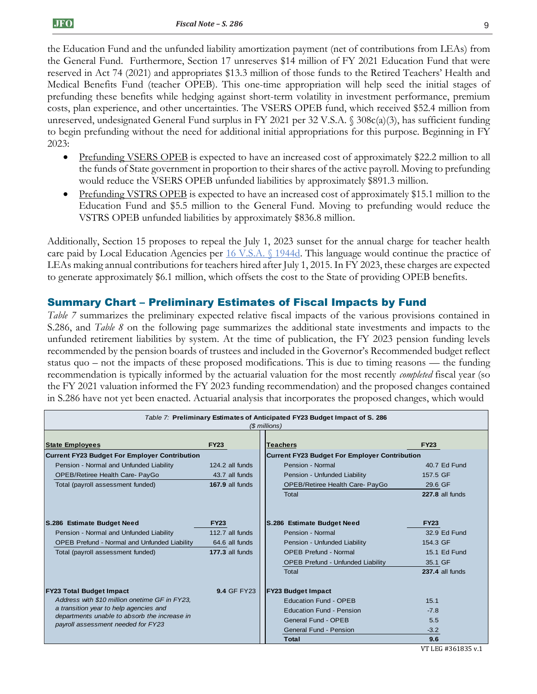the Education Fund and the unfunded liability amortization payment (net of contributions from LEAs) from the General Fund. Furthermore, Section 17 unreserves \$14 million of FY 2021 Education Fund that were reserved in Act 74 (2021) and appropriates \$13.3 million of those funds to the Retired Teachers' Health and Medical Benefits Fund (teacher OPEB). This one-time appropriation will help seed the initial stages of prefunding these benefits while hedging against short-term volatility in investment performance, premium costs, plan experience, and other uncertainties. The VSERS OPEB fund, which received \$52.4 million from unreserved, undesignated General Fund surplus in FY 2021 per 32 V.S.A. § 308c(a)(3), has sufficient funding to begin prefunding without the need for additional initial appropriations for this purpose. Beginning in FY 2023:

- Prefunding VSERS OPEB is expected to have an increased cost of approximately \$22.2 million to all the funds of State government in proportion to their shares of the active payroll. Moving to prefunding would reduce the VSERS OPEB unfunded liabilities by approximately \$891.3 million.
- Prefunding VSTRS OPEB is expected to have an increased cost of approximately \$15.1 million to the Education Fund and \$5.5 million to the General Fund. Moving to prefunding would reduce the VSTRS OPEB unfunded liabilities by approximately \$836.8 million.

Additionally, Section 15 proposes to repeal the July 1, 2023 sunset for the annual charge for teacher health care paid by Local Education Agencies per [16 V.S.A. §](https://legislature.vermont.gov/statutes/section/16/055/01944d) 1944d. This language would continue the practice of LEAs making annual contributions for teachers hired after July 1, 2015. In FY 2023, these charges are expected to generate approximately \$6.1 million, which offsets the cost to the State of providing OPEB benefits.

## Summary Chart – Preliminary Estimates of Fiscal Impacts by Fund

*Table 7* summarizes the preliminary expected relative fiscal impacts of the various provisions contained in S.286, and *Table 8* on the following page summarizes the additional state investments and impacts to the unfunded retirement liabilities by system. At the time of publication, the FY 2023 pension funding levels recommended by the pension boards of trustees and included in the Governor's Recommended budget reflect status quo – not the impacts of these proposed modifications. This is due to timing reasons — the funding recommendation is typically informed by the actuarial valuation for the most recently *completed* fiscal year (so the FY 2021 valuation informed the FY 2023 funding recommendation) and the proposed changes contained in S.286 have not yet been enacted. Actuarial analysis that incorporates the proposed changes, which would

| Table 7: Preliminary Estimates of Anticipated FY23 Budget Impact of S. 286<br>(\$ millions) |                    |                                                      |                      |  |  |
|---------------------------------------------------------------------------------------------|--------------------|------------------------------------------------------|----------------------|--|--|
| <b>State Employees</b>                                                                      | <b>FY23</b>        | <b>Teachers</b>                                      | <b>FY23</b>          |  |  |
| <b>Current FY23 Budget For Employer Contribution</b>                                        |                    | <b>Current FY23 Budget For Employer Contribution</b> |                      |  |  |
| Pension - Normal and Unfunded Liability                                                     | 124.2 all funds    | Pension - Normal                                     | 40.7 Ed Fund         |  |  |
| OPEB/Retiree Health Care- PayGo                                                             | 43.7 all funds     | Pension - Unfunded Liability                         | 157.5 GF             |  |  |
| Total (payroll assessment funded)                                                           | 167.9 all funds    | OPEB/Retiree Health Care- PayGo                      | 29.6 GF              |  |  |
|                                                                                             |                    | Total                                                | 227.8 all funds      |  |  |
| S.286 Estimate Budget Need<br><b>FY23</b>                                                   |                    | S.286 Estimate Budget Need                           | <b>FY23</b>          |  |  |
| Pension - Normal and Unfunded Liability                                                     | 112.7 all funds    | Pension - Normal                                     | 32.9 Ed Fund         |  |  |
| OPEB Prefund - Normal and Unfunded Liability                                                | 64.6 all funds     | Pension - Unfunded Liability                         | 154.3 GF             |  |  |
| Total (payroll assessment funded)                                                           | $177.3$ all funds  | <b>OPEB Prefund - Normal</b>                         | 15.1 Ed Fund         |  |  |
|                                                                                             |                    | <b>OPEB Prefund - Unfunded Liability</b>             | 35.1 GF              |  |  |
|                                                                                             |                    | <b>Total</b>                                         | 237.4 all funds      |  |  |
| <b>FY23 Total Budget Impact</b>                                                             | <b>9.4 GF FY23</b> |                                                      |                      |  |  |
| Address with \$10 million onetime GF in FY23.                                               |                    | <b>Education Fund - OPEB</b>                         | 15.1                 |  |  |
| a transition year to help agencies and                                                      |                    | <b>Education Fund - Pension</b>                      | $-7.8$               |  |  |
| departments unable to absorb the increase in<br>payroll assessment needed for FY23          |                    | General Fund - OPEB                                  | 5.5                  |  |  |
|                                                                                             |                    | <b>General Fund - Pension</b>                        | $-3.2$               |  |  |
|                                                                                             |                    | Total                                                | 9.6<br>$\frac{1}{2}$ |  |  |

VT LEG #361835 v.1